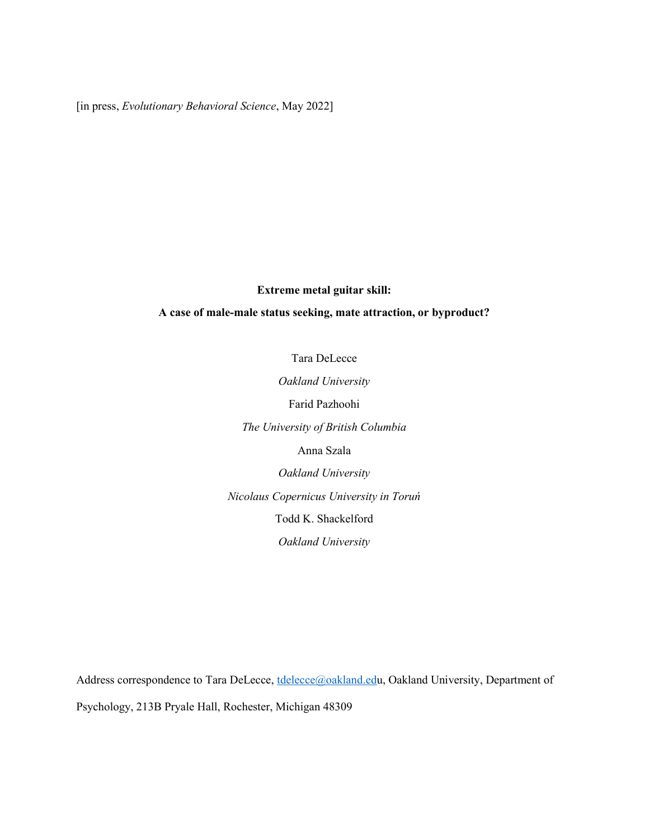[in press, Evolutionary Behavioral Science, May 2022]

# Extreme metal guitar skill:

# A case of male-male status seeking, mate attraction, or byproduct?

Tara DeLecce

Oakland University Farid Pazhoohi The University of British Columbia Anna Szala Oakland University Nicolaus Copernicus University in Toruń

Todd K. Shackelford

Oakland University

Address correspondence to Tara DeLecce, tdelecce@oakland.edu, Oakland University, Department of Psychology, 213B Pryale Hall, Rochester, Michigan 48309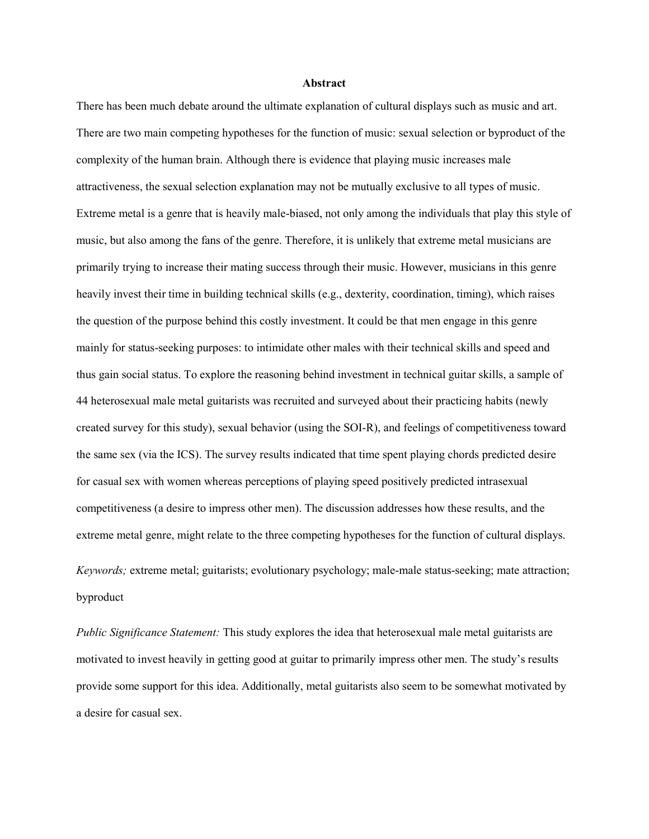#### Abstract

There has been much debate around the ultimate explanation of cultural displays such as music and art. There are two main competing hypotheses for the function of music: sexual selection or byproduct of the complexity of the human brain. Although there is evidence that playing music increases male attractiveness, the sexual selection explanation may not be mutually exclusive to all types of music. Extreme metal is a genre that is heavily male-biased, not only among the individuals that play this style of music, but also among the fans of the genre. Therefore, it is unlikely that extreme metal musicians are primarily trying to increase their mating success through their music. However, musicians in this genre heavily invest their time in building technical skills (e.g., dexterity, coordination, timing), which raises the question of the purpose behind this costly investment. It could be that men engage in this genre mainly for status-seeking purposes: to intimidate other males with their technical skills and speed and thus gain social status. To explore the reasoning behind investment in technical guitar skills, a sample of 44 heterosexual male metal guitarists was recruited and surveyed about their practicing habits (newly created survey for this study), sexual behavior (using the SOI-R), and feelings of competitiveness toward the same sex (via the ICS). The survey results indicated that time spent playing chords predicted desire for casual sex with women whereas perceptions of playing speed positively predicted intrasexual competitiveness (a desire to impress other men). The discussion addresses how these results, and the extreme metal genre, might relate to the three competing hypotheses for the function of cultural displays. Keywords; extreme metal; guitarists; evolutionary psychology; male-male status-seeking; mate attraction; byproduct

Public Significance Statement: This study explores the idea that heterosexual male metal guitarists are motivated to invest heavily in getting good at guitar to primarily impress other men. The study's results provide some support for this idea. Additionally, metal guitarists also seem to be somewhat motivated by a desire for casual sex.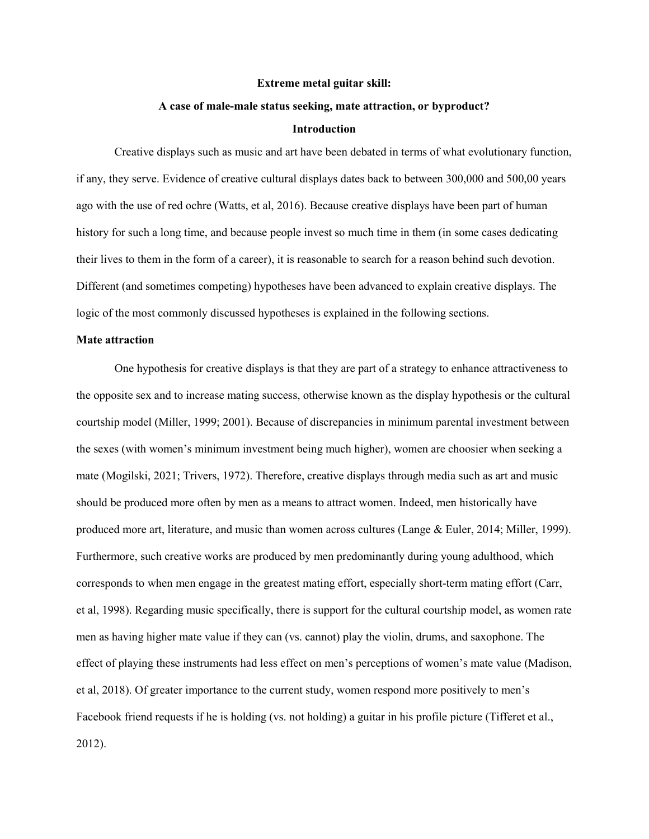#### Extreme metal guitar skill:

#### A case of male-male status seeking, mate attraction, or byproduct?

## Introduction

Creative displays such as music and art have been debated in terms of what evolutionary function, if any, they serve. Evidence of creative cultural displays dates back to between 300,000 and 500,00 years ago with the use of red ochre (Watts, et al, 2016). Because creative displays have been part of human history for such a long time, and because people invest so much time in them (in some cases dedicating their lives to them in the form of a career), it is reasonable to search for a reason behind such devotion. Different (and sometimes competing) hypotheses have been advanced to explain creative displays. The logic of the most commonly discussed hypotheses is explained in the following sections.

#### Mate attraction

One hypothesis for creative displays is that they are part of a strategy to enhance attractiveness to the opposite sex and to increase mating success, otherwise known as the display hypothesis or the cultural courtship model (Miller, 1999; 2001). Because of discrepancies in minimum parental investment between the sexes (with women's minimum investment being much higher), women are choosier when seeking a mate (Mogilski, 2021; Trivers, 1972). Therefore, creative displays through media such as art and music should be produced more often by men as a means to attract women. Indeed, men historically have produced more art, literature, and music than women across cultures (Lange & Euler, 2014; Miller, 1999). Furthermore, such creative works are produced by men predominantly during young adulthood, which corresponds to when men engage in the greatest mating effort, especially short-term mating effort (Carr, et al, 1998). Regarding music specifically, there is support for the cultural courtship model, as women rate men as having higher mate value if they can (vs. cannot) play the violin, drums, and saxophone. The effect of playing these instruments had less effect on men's perceptions of women's mate value (Madison, et al, 2018). Of greater importance to the current study, women respond more positively to men's Facebook friend requests if he is holding (vs. not holding) a guitar in his profile picture (Tifferet et al., 2012).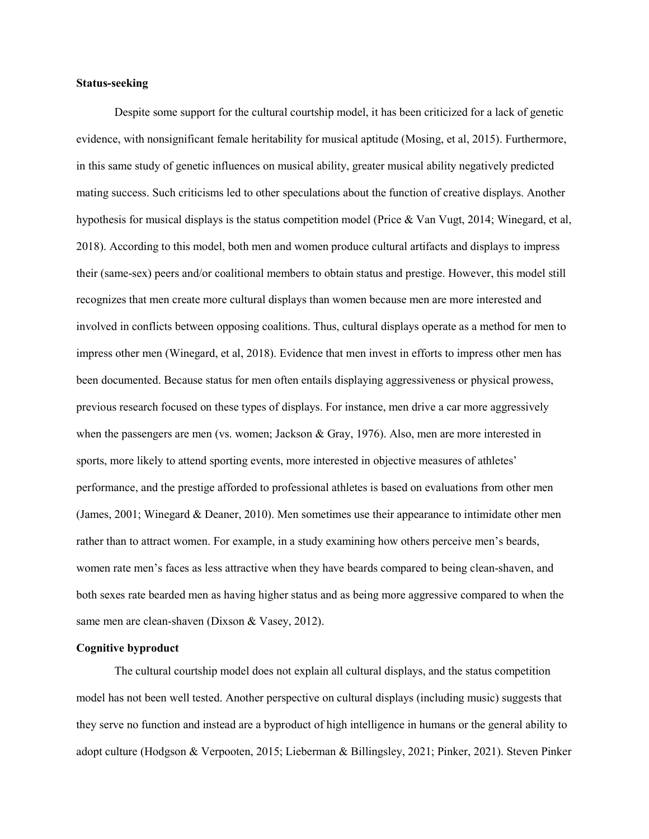# Status-seeking

 Despite some support for the cultural courtship model, it has been criticized for a lack of genetic evidence, with nonsignificant female heritability for musical aptitude (Mosing, et al, 2015). Furthermore, in this same study of genetic influences on musical ability, greater musical ability negatively predicted mating success. Such criticisms led to other speculations about the function of creative displays. Another hypothesis for musical displays is the status competition model (Price & Van Vugt, 2014; Winegard, et al, 2018). According to this model, both men and women produce cultural artifacts and displays to impress their (same-sex) peers and/or coalitional members to obtain status and prestige. However, this model still recognizes that men create more cultural displays than women because men are more interested and involved in conflicts between opposing coalitions. Thus, cultural displays operate as a method for men to impress other men (Winegard, et al, 2018). Evidence that men invest in efforts to impress other men has been documented. Because status for men often entails displaying aggressiveness or physical prowess, previous research focused on these types of displays. For instance, men drive a car more aggressively when the passengers are men (vs. women; Jackson & Gray, 1976). Also, men are more interested in sports, more likely to attend sporting events, more interested in objective measures of athletes' performance, and the prestige afforded to professional athletes is based on evaluations from other men (James, 2001; Winegard & Deaner, 2010). Men sometimes use their appearance to intimidate other men rather than to attract women. For example, in a study examining how others perceive men's beards, women rate men's faces as less attractive when they have beards compared to being clean-shaven, and both sexes rate bearded men as having higher status and as being more aggressive compared to when the same men are clean-shaven (Dixson & Vasey, 2012).

## Cognitive byproduct

The cultural courtship model does not explain all cultural displays, and the status competition model has not been well tested. Another perspective on cultural displays (including music) suggests that they serve no function and instead are a byproduct of high intelligence in humans or the general ability to adopt culture (Hodgson & Verpooten, 2015; Lieberman & Billingsley, 2021; Pinker, 2021). Steven Pinker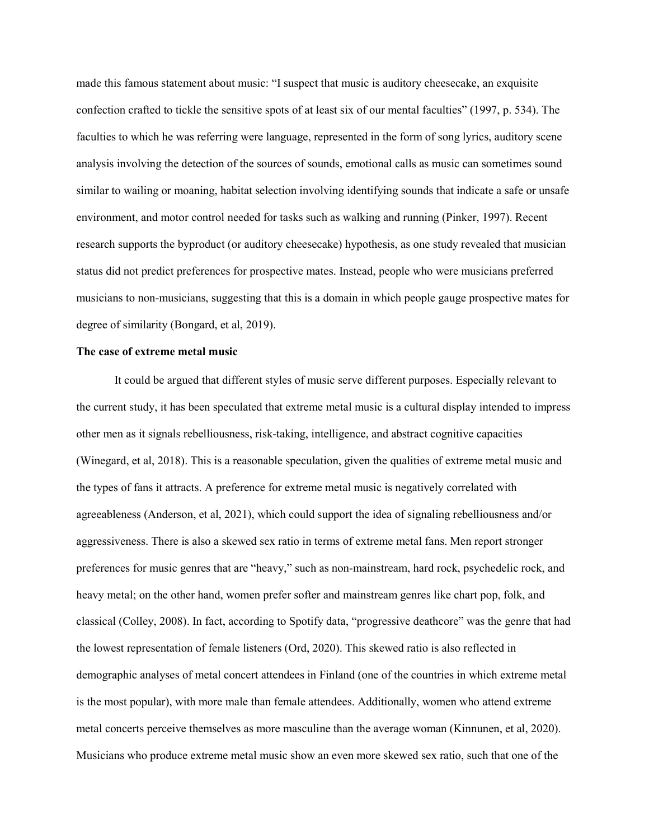made this famous statement about music: "I suspect that music is auditory cheesecake, an exquisite confection crafted to tickle the sensitive spots of at least six of our mental faculties" (1997, p. 534). The faculties to which he was referring were language, represented in the form of song lyrics, auditory scene analysis involving the detection of the sources of sounds, emotional calls as music can sometimes sound similar to wailing or moaning, habitat selection involving identifying sounds that indicate a safe or unsafe environment, and motor control needed for tasks such as walking and running (Pinker, 1997). Recent research supports the byproduct (or auditory cheesecake) hypothesis, as one study revealed that musician status did not predict preferences for prospective mates. Instead, people who were musicians preferred musicians to non-musicians, suggesting that this is a domain in which people gauge prospective mates for degree of similarity (Bongard, et al, 2019).

#### The case of extreme metal music

It could be argued that different styles of music serve different purposes. Especially relevant to the current study, it has been speculated that extreme metal music is a cultural display intended to impress other men as it signals rebelliousness, risk-taking, intelligence, and abstract cognitive capacities (Winegard, et al, 2018). This is a reasonable speculation, given the qualities of extreme metal music and the types of fans it attracts. A preference for extreme metal music is negatively correlated with agreeableness (Anderson, et al, 2021), which could support the idea of signaling rebelliousness and/or aggressiveness. There is also a skewed sex ratio in terms of extreme metal fans. Men report stronger preferences for music genres that are "heavy," such as non-mainstream, hard rock, psychedelic rock, and heavy metal; on the other hand, women prefer softer and mainstream genres like chart pop, folk, and classical (Colley, 2008). In fact, according to Spotify data, "progressive deathcore" was the genre that had the lowest representation of female listeners (Ord, 2020). This skewed ratio is also reflected in demographic analyses of metal concert attendees in Finland (one of the countries in which extreme metal is the most popular), with more male than female attendees. Additionally, women who attend extreme metal concerts perceive themselves as more masculine than the average woman (Kinnunen, et al, 2020). Musicians who produce extreme metal music show an even more skewed sex ratio, such that one of the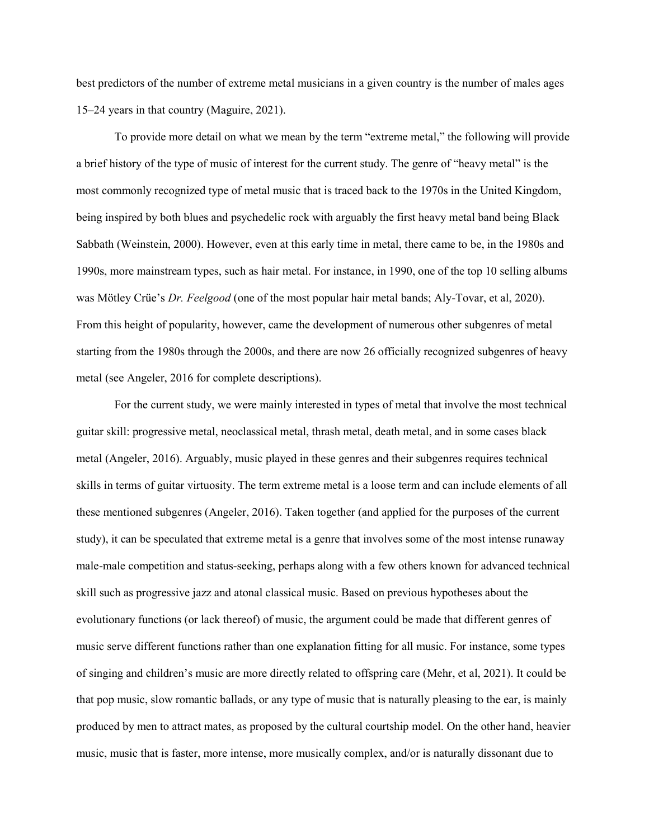best predictors of the number of extreme metal musicians in a given country is the number of males ages 15–24 years in that country (Maguire, 2021).

To provide more detail on what we mean by the term "extreme metal," the following will provide a brief history of the type of music of interest for the current study. The genre of "heavy metal" is the most commonly recognized type of metal music that is traced back to the 1970s in the United Kingdom, being inspired by both blues and psychedelic rock with arguably the first heavy metal band being Black Sabbath (Weinstein, 2000). However, even at this early time in metal, there came to be, in the 1980s and 1990s, more mainstream types, such as hair metal. For instance, in 1990, one of the top 10 selling albums was Mötley Crüe's Dr. Feelgood (one of the most popular hair metal bands; Aly-Tovar, et al, 2020). From this height of popularity, however, came the development of numerous other subgenres of metal starting from the 1980s through the 2000s, and there are now 26 officially recognized subgenres of heavy metal (see Angeler, 2016 for complete descriptions).

For the current study, we were mainly interested in types of metal that involve the most technical guitar skill: progressive metal, neoclassical metal, thrash metal, death metal, and in some cases black metal (Angeler, 2016). Arguably, music played in these genres and their subgenres requires technical skills in terms of guitar virtuosity. The term extreme metal is a loose term and can include elements of all these mentioned subgenres (Angeler, 2016). Taken together (and applied for the purposes of the current study), it can be speculated that extreme metal is a genre that involves some of the most intense runaway male-male competition and status-seeking, perhaps along with a few others known for advanced technical skill such as progressive jazz and atonal classical music. Based on previous hypotheses about the evolutionary functions (or lack thereof) of music, the argument could be made that different genres of music serve different functions rather than one explanation fitting for all music. For instance, some types of singing and children's music are more directly related to offspring care (Mehr, et al, 2021). It could be that pop music, slow romantic ballads, or any type of music that is naturally pleasing to the ear, is mainly produced by men to attract mates, as proposed by the cultural courtship model. On the other hand, heavier music, music that is faster, more intense, more musically complex, and/or is naturally dissonant due to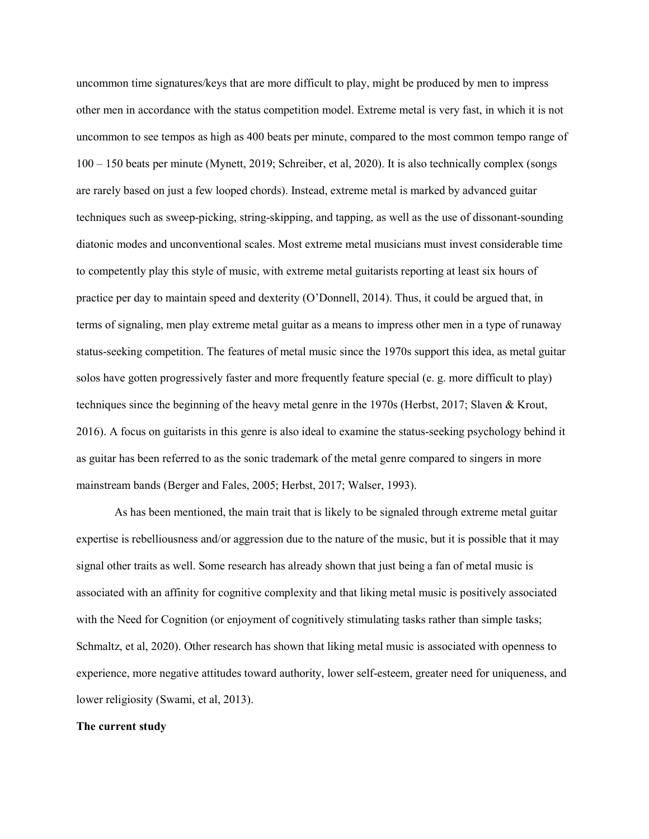uncommon time signatures/keys that are more difficult to play, might be produced by men to impress other men in accordance with the status competition model. Extreme metal is very fast, in which it is not uncommon to see tempos as high as 400 beats per minute, compared to the most common tempo range of 100 – 150 beats per minute (Mynett, 2019; Schreiber, et al, 2020). It is also technically complex (songs are rarely based on just a few looped chords). Instead, extreme metal is marked by advanced guitar techniques such as sweep-picking, string-skipping, and tapping, as well as the use of dissonant-sounding diatonic modes and unconventional scales. Most extreme metal musicians must invest considerable time to competently play this style of music, with extreme metal guitarists reporting at least six hours of practice per day to maintain speed and dexterity (O'Donnell, 2014). Thus, it could be argued that, in terms of signaling, men play extreme metal guitar as a means to impress other men in a type of runaway status-seeking competition. The features of metal music since the 1970s support this idea, as metal guitar solos have gotten progressively faster and more frequently feature special (e. g. more difficult to play) techniques since the beginning of the heavy metal genre in the 1970s (Herbst, 2017; Slaven & Krout, 2016). A focus on guitarists in this genre is also ideal to examine the status-seeking psychology behind it as guitar has been referred to as the sonic trademark of the metal genre compared to singers in more mainstream bands (Berger and Fales, 2005; Herbst, 2017; Walser, 1993).

As has been mentioned, the main trait that is likely to be signaled through extreme metal guitar expertise is rebelliousness and/or aggression due to the nature of the music, but it is possible that it may signal other traits as well. Some research has already shown that just being a fan of metal music is associated with an affinity for cognitive complexity and that liking metal music is positively associated with the Need for Cognition (or enjoyment of cognitively stimulating tasks rather than simple tasks; Schmaltz, et al, 2020). Other research has shown that liking metal music is associated with openness to experience, more negative attitudes toward authority, lower self-esteem, greater need for uniqueness, and lower religiosity (Swami, et al, 2013).

#### The current study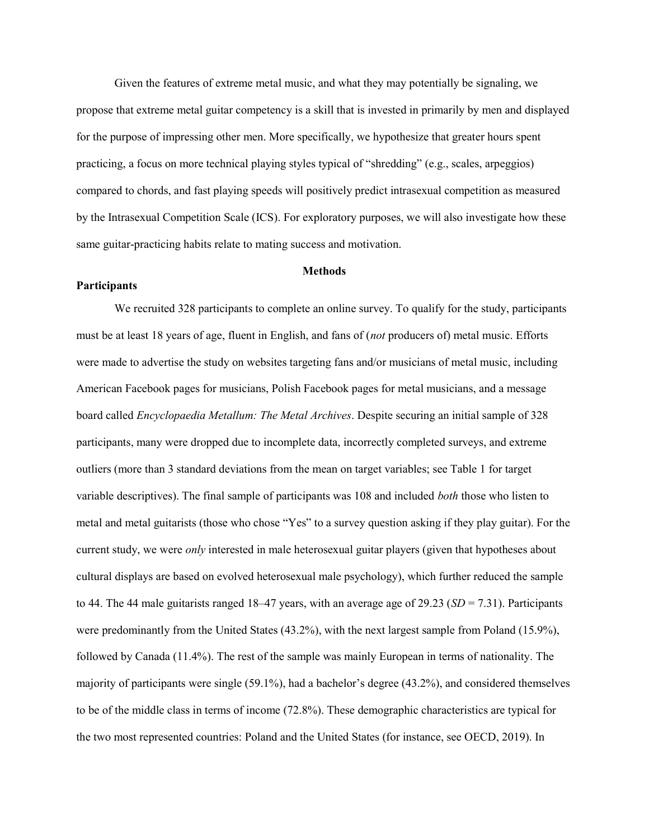Given the features of extreme metal music, and what they may potentially be signaling, we propose that extreme metal guitar competency is a skill that is invested in primarily by men and displayed for the purpose of impressing other men. More specifically, we hypothesize that greater hours spent practicing, a focus on more technical playing styles typical of "shredding" (e.g., scales, arpeggios) compared to chords, and fast playing speeds will positively predict intrasexual competition as measured by the Intrasexual Competition Scale (ICS). For exploratory purposes, we will also investigate how these same guitar-practicing habits relate to mating success and motivation.

#### **Methods**

# Participants

 We recruited 328 participants to complete an online survey. To qualify for the study, participants must be at least 18 years of age, fluent in English, and fans of (*not* producers of) metal music. Efforts were made to advertise the study on websites targeting fans and/or musicians of metal music, including American Facebook pages for musicians, Polish Facebook pages for metal musicians, and a message board called Encyclopaedia Metallum: The Metal Archives. Despite securing an initial sample of 328 participants, many were dropped due to incomplete data, incorrectly completed surveys, and extreme outliers (more than 3 standard deviations from the mean on target variables; see Table 1 for target variable descriptives). The final sample of participants was 108 and included both those who listen to metal and metal guitarists (those who chose "Yes" to a survey question asking if they play guitar). For the current study, we were *only* interested in male heterosexual guitar players (given that hypotheses about cultural displays are based on evolved heterosexual male psychology), which further reduced the sample to 44. The 44 male guitarists ranged 18–47 years, with an average age of 29.23 ( $SD = 7.31$ ). Participants were predominantly from the United States (43.2%), with the next largest sample from Poland (15.9%), followed by Canada (11.4%). The rest of the sample was mainly European in terms of nationality. The majority of participants were single (59.1%), had a bachelor's degree (43.2%), and considered themselves to be of the middle class in terms of income (72.8%). These demographic characteristics are typical for the two most represented countries: Poland and the United States (for instance, see OECD, 2019). In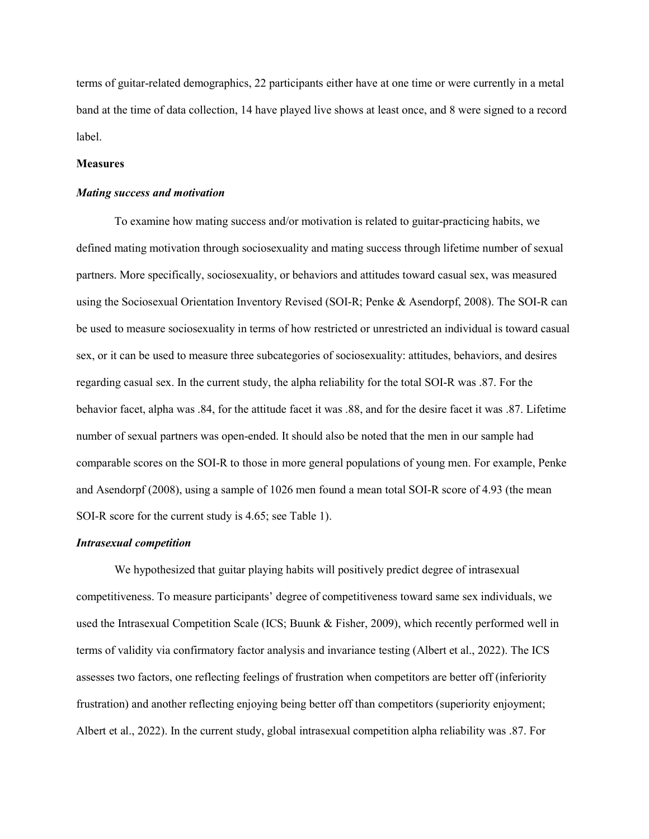terms of guitar-related demographics, 22 participants either have at one time or were currently in a metal band at the time of data collection, 14 have played live shows at least once, and 8 were signed to a record label.

#### **Measures**

#### Mating success and motivation

To examine how mating success and/or motivation is related to guitar-practicing habits, we defined mating motivation through sociosexuality and mating success through lifetime number of sexual partners. More specifically, sociosexuality, or behaviors and attitudes toward casual sex, was measured using the Sociosexual Orientation Inventory Revised (SOI-R; Penke & Asendorpf, 2008). The SOI-R can be used to measure sociosexuality in terms of how restricted or unrestricted an individual is toward casual sex, or it can be used to measure three subcategories of sociosexuality: attitudes, behaviors, and desires regarding casual sex. In the current study, the alpha reliability for the total SOI-R was .87. For the behavior facet, alpha was .84, for the attitude facet it was .88, and for the desire facet it was .87. Lifetime number of sexual partners was open-ended. It should also be noted that the men in our sample had comparable scores on the SOI-R to those in more general populations of young men. For example, Penke and Asendorpf (2008), using a sample of 1026 men found a mean total SOI-R score of 4.93 (the mean SOI-R score for the current study is 4.65; see Table 1).

#### Intrasexual competition

 We hypothesized that guitar playing habits will positively predict degree of intrasexual competitiveness. To measure participants' degree of competitiveness toward same sex individuals, we used the Intrasexual Competition Scale (ICS; Buunk & Fisher, 2009), which recently performed well in terms of validity via confirmatory factor analysis and invariance testing (Albert et al., 2022). The ICS assesses two factors, one reflecting feelings of frustration when competitors are better off (inferiority frustration) and another reflecting enjoying being better off than competitors (superiority enjoyment; Albert et al., 2022). In the current study, global intrasexual competition alpha reliability was .87. For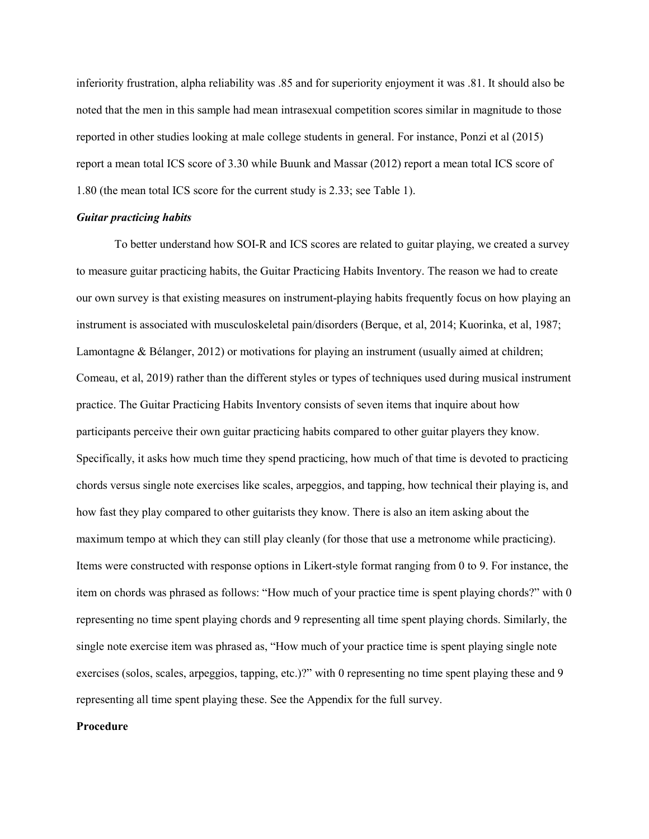inferiority frustration, alpha reliability was .85 and for superiority enjoyment it was .81. It should also be noted that the men in this sample had mean intrasexual competition scores similar in magnitude to those reported in other studies looking at male college students in general. For instance, Ponzi et al (2015) report a mean total ICS score of 3.30 while Buunk and Massar (2012) report a mean total ICS score of 1.80 (the mean total ICS score for the current study is 2.33; see Table 1).

## Guitar practicing habits

 To better understand how SOI-R and ICS scores are related to guitar playing, we created a survey to measure guitar practicing habits, the Guitar Practicing Habits Inventory. The reason we had to create our own survey is that existing measures on instrument-playing habits frequently focus on how playing an instrument is associated with musculoskeletal pain/disorders (Berque, et al, 2014; Kuorinka, et al, 1987; Lamontagne & Bélanger, 2012) or motivations for playing an instrument (usually aimed at children; Comeau, et al, 2019) rather than the different styles or types of techniques used during musical instrument practice. The Guitar Practicing Habits Inventory consists of seven items that inquire about how participants perceive their own guitar practicing habits compared to other guitar players they know. Specifically, it asks how much time they spend practicing, how much of that time is devoted to practicing chords versus single note exercises like scales, arpeggios, and tapping, how technical their playing is, and how fast they play compared to other guitarists they know. There is also an item asking about the maximum tempo at which they can still play cleanly (for those that use a metronome while practicing). Items were constructed with response options in Likert-style format ranging from 0 to 9. For instance, the item on chords was phrased as follows: "How much of your practice time is spent playing chords?" with 0 representing no time spent playing chords and 9 representing all time spent playing chords. Similarly, the single note exercise item was phrased as, "How much of your practice time is spent playing single note exercises (solos, scales, arpeggios, tapping, etc.)?" with 0 representing no time spent playing these and 9 representing all time spent playing these. See the Appendix for the full survey.

#### Procedure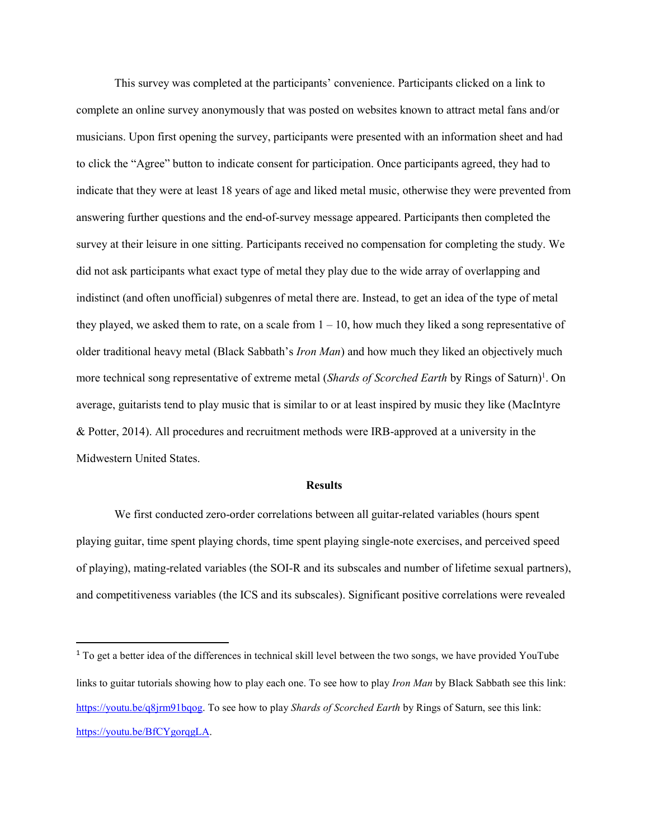This survey was completed at the participants' convenience. Participants clicked on a link to complete an online survey anonymously that was posted on websites known to attract metal fans and/or musicians. Upon first opening the survey, participants were presented with an information sheet and had to click the "Agree" button to indicate consent for participation. Once participants agreed, they had to indicate that they were at least 18 years of age and liked metal music, otherwise they were prevented from answering further questions and the end-of-survey message appeared. Participants then completed the survey at their leisure in one sitting. Participants received no compensation for completing the study. We did not ask participants what exact type of metal they play due to the wide array of overlapping and indistinct (and often unofficial) subgenres of metal there are. Instead, to get an idea of the type of metal they played, we asked them to rate, on a scale from  $1 - 10$ , how much they liked a song representative of older traditional heavy metal (Black Sabbath's Iron Man) and how much they liked an objectively much more technical song representative of extreme metal (Shards of Scorched Earth by Rings of Saturn)<sup>1</sup>. On average, guitarists tend to play music that is similar to or at least inspired by music they like (MacIntyre & Potter, 2014). All procedures and recruitment methods were IRB-approved at a university in the Midwestern United States.

#### Results

 We first conducted zero-order correlations between all guitar-related variables (hours spent playing guitar, time spent playing chords, time spent playing single-note exercises, and perceived speed of playing), mating-related variables (the SOI-R and its subscales and number of lifetime sexual partners), and competitiveness variables (the ICS and its subscales). Significant positive correlations were revealed

<sup>&</sup>lt;sup>1</sup> To get a better idea of the differences in technical skill level between the two songs, we have provided YouTube links to guitar tutorials showing how to play each one. To see how to play *Iron Man* by Black Sabbath see this link: https://youtu.be/q8jrm91bqog. To see how to play Shards of Scorched Earth by Rings of Saturn, see this link: https://youtu.be/BfCYgorqgLA.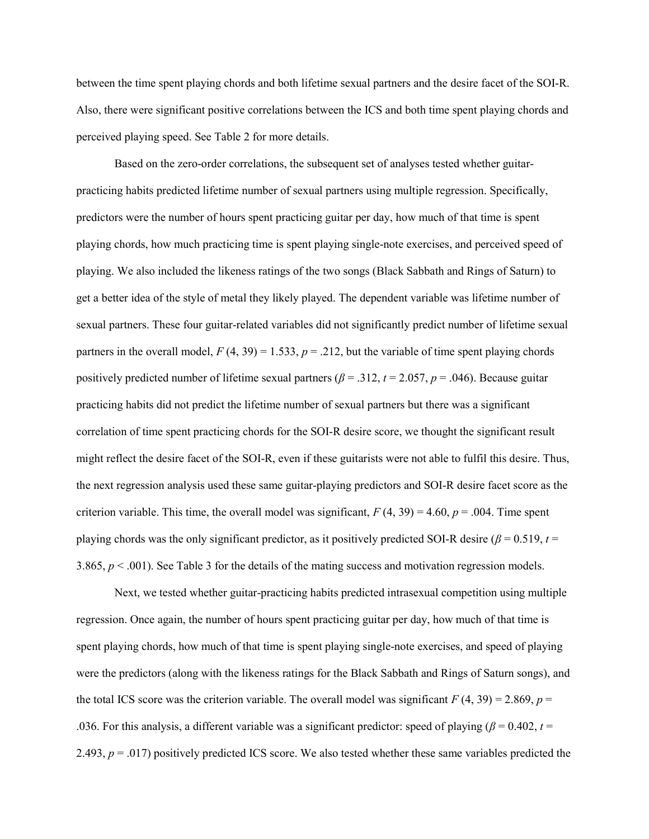between the time spent playing chords and both lifetime sexual partners and the desire facet of the SOI-R. Also, there were significant positive correlations between the ICS and both time spent playing chords and perceived playing speed. See Table 2 for more details.

 Based on the zero-order correlations, the subsequent set of analyses tested whether guitarpracticing habits predicted lifetime number of sexual partners using multiple regression. Specifically, predictors were the number of hours spent practicing guitar per day, how much of that time is spent playing chords, how much practicing time is spent playing single-note exercises, and perceived speed of playing. We also included the likeness ratings of the two songs (Black Sabbath and Rings of Saturn) to get a better idea of the style of metal they likely played. The dependent variable was lifetime number of sexual partners. These four guitar-related variables did not significantly predict number of lifetime sexual partners in the overall model,  $F(4, 39) = 1.533$ ,  $p = .212$ , but the variable of time spent playing chords positively predicted number of lifetime sexual partners ( $\beta = .312$ ,  $t = 2.057$ ,  $p = .046$ ). Because guitar practicing habits did not predict the lifetime number of sexual partners but there was a significant correlation of time spent practicing chords for the SOI-R desire score, we thought the significant result might reflect the desire facet of the SOI-R, even if these guitarists were not able to fulfil this desire. Thus, the next regression analysis used these same guitar-playing predictors and SOI-R desire facet score as the criterion variable. This time, the overall model was significant,  $F(4, 39) = 4.60$ ,  $p = .004$ . Time spent playing chords was the only significant predictor, as it positively predicted SOI-R desire ( $\beta$  = 0.519, t = 3.865,  $p < .001$ ). See Table 3 for the details of the mating success and motivation regression models.

Next, we tested whether guitar-practicing habits predicted intrasexual competition using multiple regression. Once again, the number of hours spent practicing guitar per day, how much of that time is spent playing chords, how much of that time is spent playing single-note exercises, and speed of playing were the predictors (along with the likeness ratings for the Black Sabbath and Rings of Saturn songs), and the total ICS score was the criterion variable. The overall model was significant  $F(4, 39) = 2.869$ ,  $p =$ .036. For this analysis, a different variable was a significant predictor: speed of playing ( $\beta$  = 0.402, t = 2.493,  $p = .017$ ) positively predicted ICS score. We also tested whether these same variables predicted the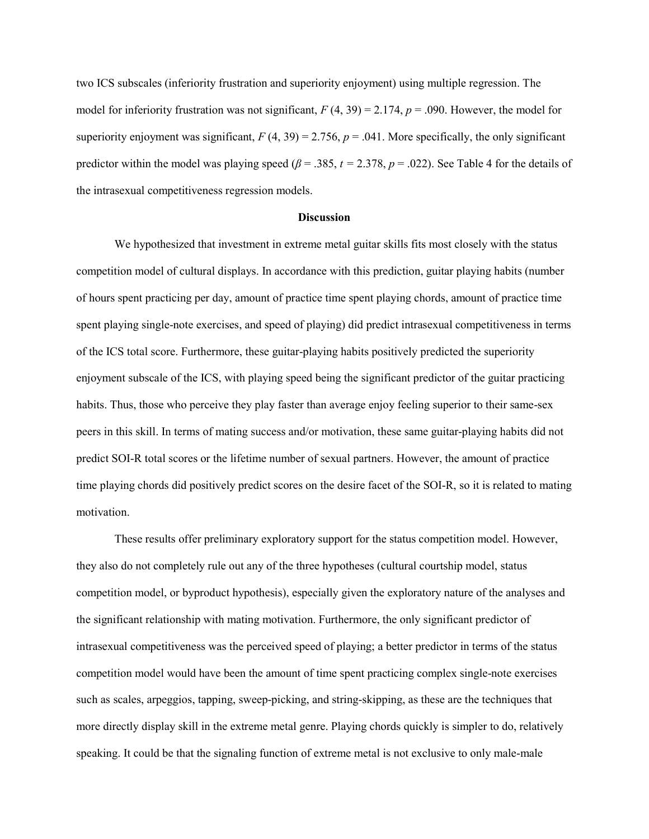two ICS subscales (inferiority frustration and superiority enjoyment) using multiple regression. The model for inferiority frustration was not significant,  $F(4, 39) = 2.174$ ,  $p = .090$ . However, the model for superiority enjoyment was significant,  $F(4, 39) = 2.756$ ,  $p = .041$ . More specifically, the only significant predictor within the model was playing speed ( $\beta$  = .385, t = 2.378, p = .022). See Table 4 for the details of the intrasexual competitiveness regression models.

# **Discussion**

We hypothesized that investment in extreme metal guitar skills fits most closely with the status competition model of cultural displays. In accordance with this prediction, guitar playing habits (number of hours spent practicing per day, amount of practice time spent playing chords, amount of practice time spent playing single-note exercises, and speed of playing) did predict intrasexual competitiveness in terms of the ICS total score. Furthermore, these guitar-playing habits positively predicted the superiority enjoyment subscale of the ICS, with playing speed being the significant predictor of the guitar practicing habits. Thus, those who perceive they play faster than average enjoy feeling superior to their same-sex peers in this skill. In terms of mating success and/or motivation, these same guitar-playing habits did not predict SOI-R total scores or the lifetime number of sexual partners. However, the amount of practice time playing chords did positively predict scores on the desire facet of the SOI-R, so it is related to mating motivation.

 These results offer preliminary exploratory support for the status competition model. However, they also do not completely rule out any of the three hypotheses (cultural courtship model, status competition model, or byproduct hypothesis), especially given the exploratory nature of the analyses and the significant relationship with mating motivation. Furthermore, the only significant predictor of intrasexual competitiveness was the perceived speed of playing; a better predictor in terms of the status competition model would have been the amount of time spent practicing complex single-note exercises such as scales, arpeggios, tapping, sweep-picking, and string-skipping, as these are the techniques that more directly display skill in the extreme metal genre. Playing chords quickly is simpler to do, relatively speaking. It could be that the signaling function of extreme metal is not exclusive to only male-male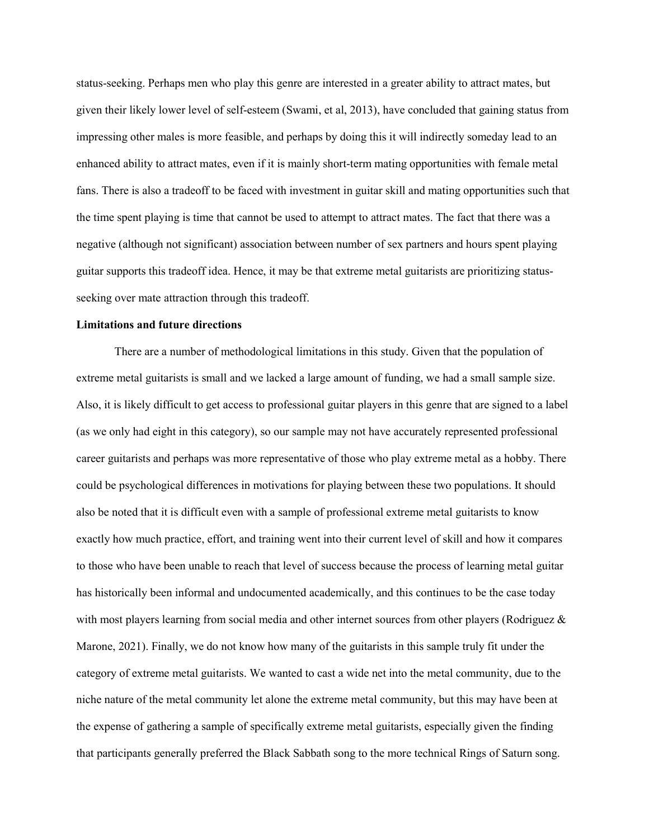status-seeking. Perhaps men who play this genre are interested in a greater ability to attract mates, but given their likely lower level of self-esteem (Swami, et al, 2013), have concluded that gaining status from impressing other males is more feasible, and perhaps by doing this it will indirectly someday lead to an enhanced ability to attract mates, even if it is mainly short-term mating opportunities with female metal fans. There is also a tradeoff to be faced with investment in guitar skill and mating opportunities such that the time spent playing is time that cannot be used to attempt to attract mates. The fact that there was a negative (although not significant) association between number of sex partners and hours spent playing guitar supports this tradeoff idea. Hence, it may be that extreme metal guitarists are prioritizing statusseeking over mate attraction through this tradeoff.

#### Limitations and future directions

 There are a number of methodological limitations in this study. Given that the population of extreme metal guitarists is small and we lacked a large amount of funding, we had a small sample size. Also, it is likely difficult to get access to professional guitar players in this genre that are signed to a label (as we only had eight in this category), so our sample may not have accurately represented professional career guitarists and perhaps was more representative of those who play extreme metal as a hobby. There could be psychological differences in motivations for playing between these two populations. It should also be noted that it is difficult even with a sample of professional extreme metal guitarists to know exactly how much practice, effort, and training went into their current level of skill and how it compares to those who have been unable to reach that level of success because the process of learning metal guitar has historically been informal and undocumented academically, and this continues to be the case today with most players learning from social media and other internet sources from other players (Rodriguez & Marone, 2021). Finally, we do not know how many of the guitarists in this sample truly fit under the category of extreme metal guitarists. We wanted to cast a wide net into the metal community, due to the niche nature of the metal community let alone the extreme metal community, but this may have been at the expense of gathering a sample of specifically extreme metal guitarists, especially given the finding that participants generally preferred the Black Sabbath song to the more technical Rings of Saturn song.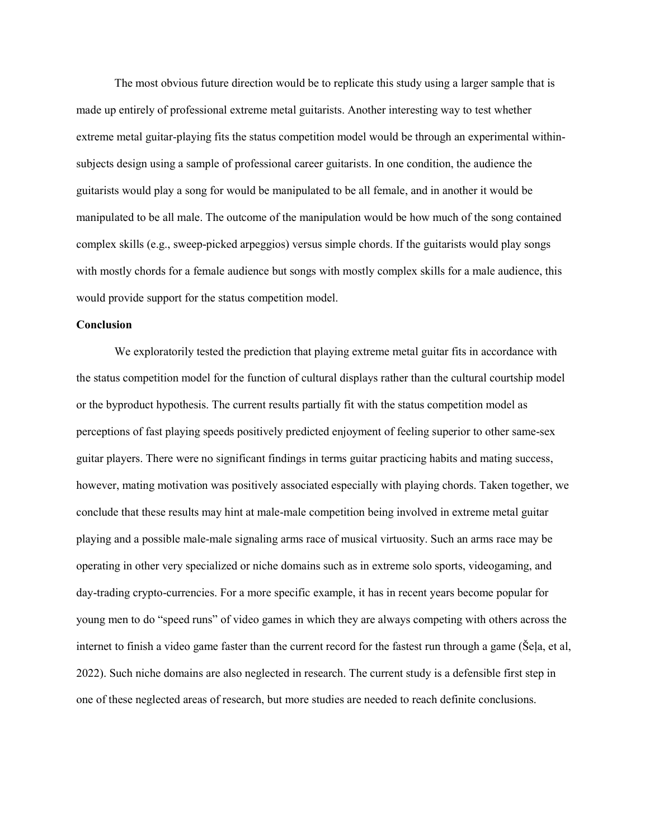The most obvious future direction would be to replicate this study using a larger sample that is made up entirely of professional extreme metal guitarists. Another interesting way to test whether extreme metal guitar-playing fits the status competition model would be through an experimental withinsubjects design using a sample of professional career guitarists. In one condition, the audience the guitarists would play a song for would be manipulated to be all female, and in another it would be manipulated to be all male. The outcome of the manipulation would be how much of the song contained complex skills (e.g., sweep-picked arpeggios) versus simple chords. If the guitarists would play songs with mostly chords for a female audience but songs with mostly complex skills for a male audience, this would provide support for the status competition model.

## **Conclusion**

 We exploratorily tested the prediction that playing extreme metal guitar fits in accordance with the status competition model for the function of cultural displays rather than the cultural courtship model or the byproduct hypothesis. The current results partially fit with the status competition model as perceptions of fast playing speeds positively predicted enjoyment of feeling superior to other same-sex guitar players. There were no significant findings in terms guitar practicing habits and mating success, however, mating motivation was positively associated especially with playing chords. Taken together, we conclude that these results may hint at male-male competition being involved in extreme metal guitar playing and a possible male-male signaling arms race of musical virtuosity. Such an arms race may be operating in other very specialized or niche domains such as in extreme solo sports, videogaming, and day-trading crypto-currencies. For a more specific example, it has in recent years become popular for young men to do "speed runs" of video games in which they are always competing with others across the internet to finish a video game faster than the current record for the fastest run through a game (Šeļa, et al, 2022). Such niche domains are also neglected in research. The current study is a defensible first step in one of these neglected areas of research, but more studies are needed to reach definite conclusions.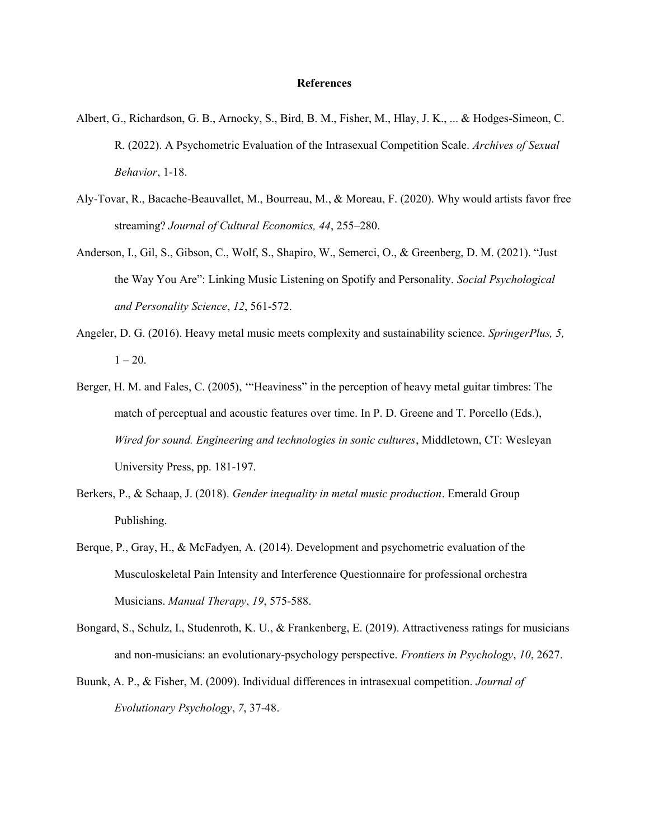#### References

- Albert, G., Richardson, G. B., Arnocky, S., Bird, B. M., Fisher, M., Hlay, J. K., ... & Hodges-Simeon, C. R. (2022). A Psychometric Evaluation of the Intrasexual Competition Scale. Archives of Sexual Behavior, 1-18.
- Aly-Tovar, R., Bacache-Beauvallet, M., Bourreau, M., & Moreau, F. (2020). Why would artists favor free streaming? Journal of Cultural Economics, 44, 255–280.
- Anderson, I., Gil, S., Gibson, C., Wolf, S., Shapiro, W., Semerci, O., & Greenberg, D. M. (2021). "Just the Way You Are": Linking Music Listening on Spotify and Personality. Social Psychological and Personality Science, 12, 561-572.
- Angeler, D. G. (2016). Heavy metal music meets complexity and sustainability science. SpringerPlus, 5,  $1 - 20$ .
- Berger, H. M. and Fales, C. (2005), '"Heaviness" in the perception of heavy metal guitar timbres: The match of perceptual and acoustic features over time. In P. D. Greene and T. Porcello (Eds.), Wired for sound. Engineering and technologies in sonic cultures, Middletown, CT: Wesleyan University Press, pp. 181-197.
- Berkers, P., & Schaap, J. (2018). Gender inequality in metal music production. Emerald Group Publishing.
- Berque, P., Gray, H., & McFadyen, A. (2014). Development and psychometric evaluation of the Musculoskeletal Pain Intensity and Interference Questionnaire for professional orchestra Musicians. Manual Therapy, 19, 575-588.
- Bongard, S., Schulz, I., Studenroth, K. U., & Frankenberg, E. (2019). Attractiveness ratings for musicians and non-musicians: an evolutionary-psychology perspective. *Frontiers in Psychology*, 10, 2627.
- Buunk, A. P., & Fisher, M. (2009). Individual differences in intrasexual competition. Journal of Evolutionary Psychology, 7, 37-48.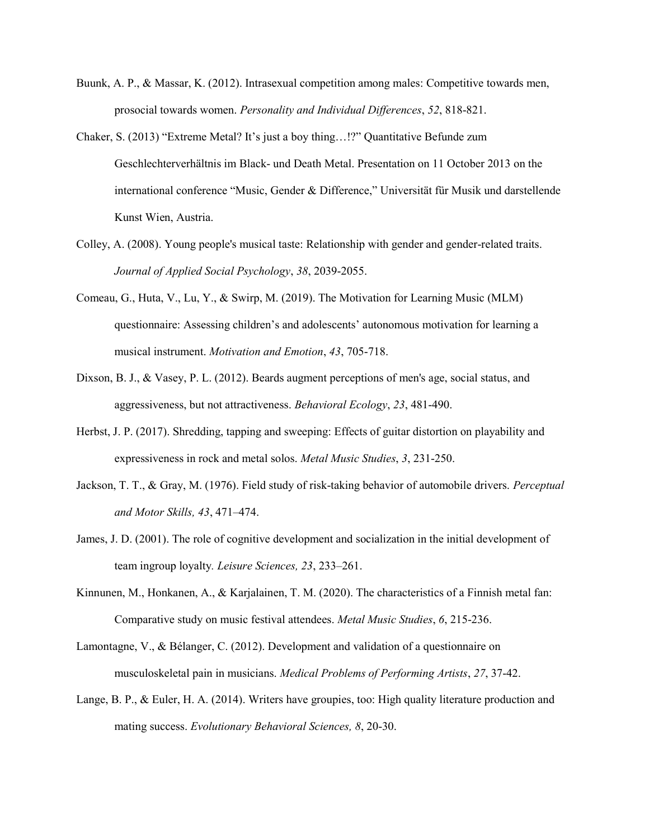- Buunk, A. P., & Massar, K. (2012). Intrasexual competition among males: Competitive towards men, prosocial towards women. Personality and Individual Differences, 52, 818-821.
- Chaker, S. (2013) "Extreme Metal? It's just a boy thing…!?" Quantitative Befunde zum Geschlechterverhältnis im Black- und Death Metal. Presentation on 11 October 2013 on the international conference "Music, Gender & Difference," Universität für Musik und darstellende Kunst Wien, Austria.
- Colley, A. (2008). Young people's musical taste: Relationship with gender and gender‐related traits. Journal of Applied Social Psychology, 38, 2039-2055.
- Comeau, G., Huta, V., Lu, Y., & Swirp, M. (2019). The Motivation for Learning Music (MLM) questionnaire: Assessing children's and adolescents' autonomous motivation for learning a musical instrument. Motivation and Emotion, 43, 705-718.
- Dixson, B. J., & Vasey, P. L. (2012). Beards augment perceptions of men's age, social status, and aggressiveness, but not attractiveness. Behavioral Ecology, 23, 481-490.
- Herbst, J. P. (2017). Shredding, tapping and sweeping: Effects of guitar distortion on playability and expressiveness in rock and metal solos. Metal Music Studies, 3, 231-250.
- Jackson, T. T., & Gray, M. (1976). Field study of risk-taking behavior of automobile drivers. Perceptual and Motor Skills, 43, 471–474.
- James, J. D. (2001). The role of cognitive development and socialization in the initial development of team ingroup loyalty. Leisure Sciences, 23, 233–261.
- Kinnunen, M., Honkanen, A., & Karjalainen, T. M. (2020). The characteristics of a Finnish metal fan: Comparative study on music festival attendees. Metal Music Studies, 6, 215-236.
- Lamontagne, V., & Bélanger, C. (2012). Development and validation of a questionnaire on musculoskeletal pain in musicians. Medical Problems of Performing Artists, 27, 37-42.
- Lange, B. P., & Euler, H. A. (2014). Writers have groupies, too: High quality literature production and mating success. Evolutionary Behavioral Sciences, 8, 20-30.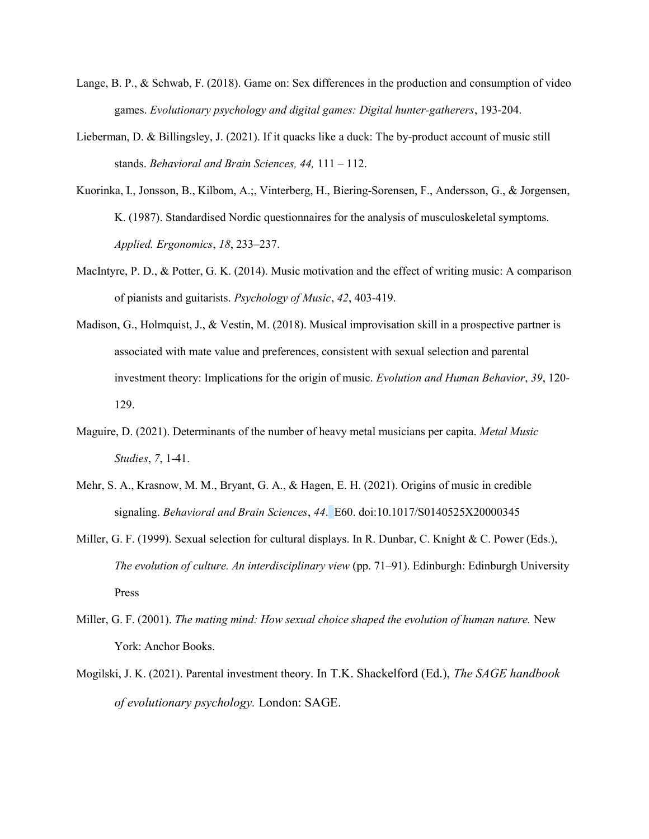- Lange, B. P., & Schwab, F. (2018). Game on: Sex differences in the production and consumption of video games. Evolutionary psychology and digital games: Digital hunter-gatherers, 193-204.
- Lieberman, D. & Billingsley, J. (2021). If it quacks like a duck: The by-product account of music still stands. Behavioral and Brain Sciences, 44, 111 – 112.
- Kuorinka, I., Jonsson, B., Kilbom, A.;, Vinterberg, H., Biering-Sorensen, F., Andersson, G., & Jorgensen, K. (1987). Standardised Nordic questionnaires for the analysis of musculoskeletal symptoms. Applied. Ergonomics, 18, 233–237.
- MacIntyre, P. D., & Potter, G. K. (2014). Music motivation and the effect of writing music: A comparison of pianists and guitarists. Psychology of Music, 42, 403-419.
- Madison, G., Holmquist, J., & Vestin, M. (2018). Musical improvisation skill in a prospective partner is associated with mate value and preferences, consistent with sexual selection and parental investment theory: Implications for the origin of music. Evolution and Human Behavior, 39, 120- 129.
- Maguire, D. (2021). Determinants of the number of heavy metal musicians per capita. Metal Music Studies, 7, 1-41.
- Mehr, S. A., Krasnow, M. M., Bryant, G. A., & Hagen, E. H. (2021). Origins of music in credible signaling. Behavioral and Brain Sciences, 44. E60. doi:10.1017/S0140525X20000345
- Miller, G. F. (1999). Sexual selection for cultural displays. In R. Dunbar, C. Knight & C. Power (Eds.), The evolution of culture. An interdisciplinary view (pp. 71–91). Edinburgh: Edinburgh University Press
- Miller, G. F. (2001). The mating mind: How sexual choice shaped the evolution of human nature. New York: Anchor Books.
- Mogilski, J. K. (2021). Parental investment theory. In T.K. Shackelford (Ed.), The SAGE handbook of evolutionary psychology. London: SAGE.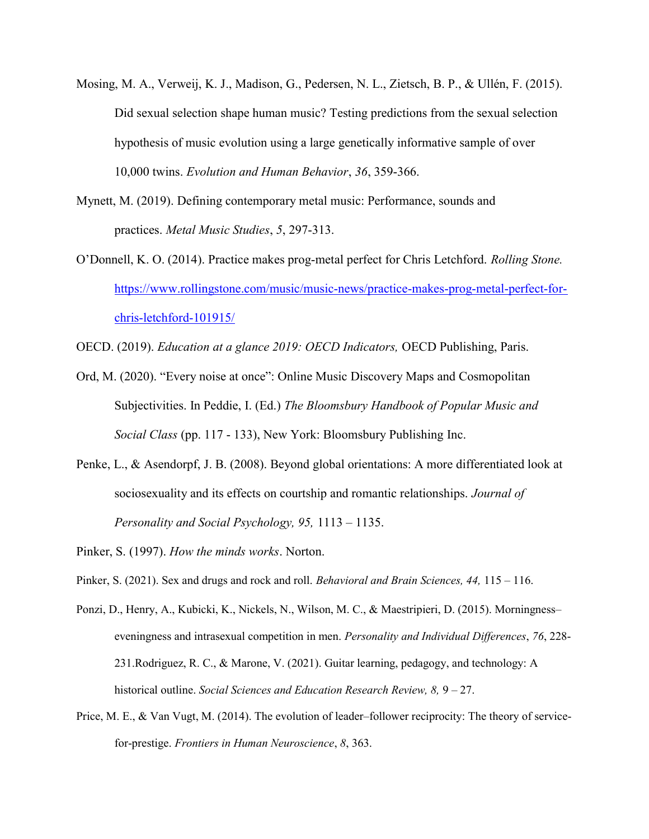- Mosing, M. A., Verweij, K. J., Madison, G., Pedersen, N. L., Zietsch, B. P., & Ullén, F. (2015). Did sexual selection shape human music? Testing predictions from the sexual selection hypothesis of music evolution using a large genetically informative sample of over 10,000 twins. Evolution and Human Behavior, 36, 359-366.
- Mynett, M. (2019). Defining contemporary metal music: Performance, sounds and practices. Metal Music Studies, 5, 297-313.
- O'Donnell, K. O. (2014). Practice makes prog-metal perfect for Chris Letchford. Rolling Stone. https://www.rollingstone.com/music/music-news/practice-makes-prog-metal-perfect-forchris-letchford-101915/
- OECD. (2019). Education at a glance 2019: OECD Indicators, OECD Publishing, Paris.
- Ord, M. (2020). "Every noise at once": Online Music Discovery Maps and Cosmopolitan Subjectivities. In Peddie, I. (Ed.) The Bloomsbury Handbook of Popular Music and Social Class (pp. 117 - 133), New York: Bloomsbury Publishing Inc.
- Penke, L., & Asendorpf, J. B. (2008). Beyond global orientations: A more differentiated look at sociosexuality and its effects on courtship and romantic relationships. Journal of Personality and Social Psychology, 95, 1113 – 1135.
- Pinker, S. (1997). How the minds works. Norton.
- Pinker, S. (2021). Sex and drugs and rock and roll. Behavioral and Brain Sciences, 44, 115 116.
- Ponzi, D., Henry, A., Kubicki, K., Nickels, N., Wilson, M. C., & Maestripieri, D. (2015). Morningness– eveningness and intrasexual competition in men. Personality and Individual Differences, 76, 228- 231.Rodriguez, R. C., & Marone, V. (2021). Guitar learning, pedagogy, and technology: A historical outline. Social Sciences and Education Research Review, 8, 9 – 27.
- Price, M. E., & Van Vugt, M. (2014). The evolution of leader–follower reciprocity: The theory of servicefor-prestige. Frontiers in Human Neuroscience, 8, 363.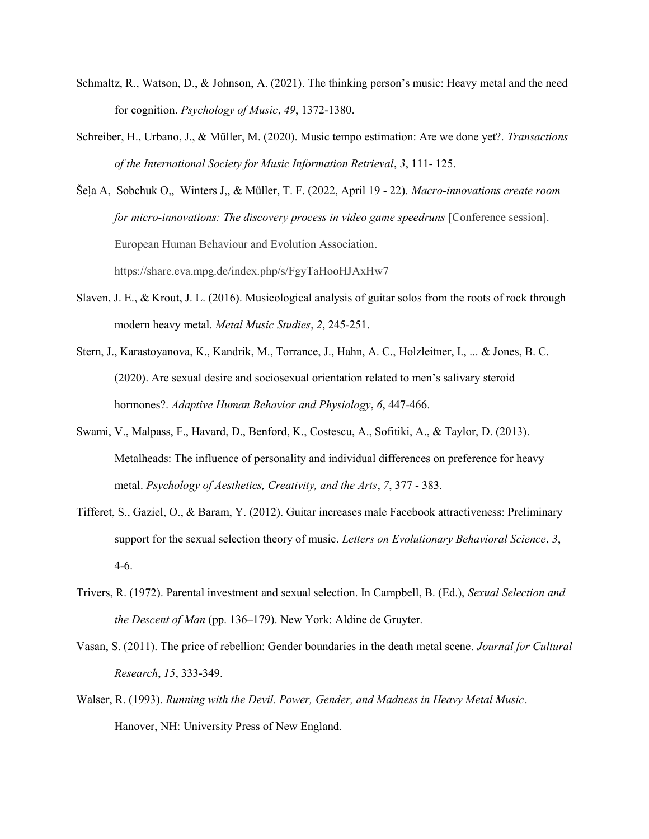- Schmaltz, R., Watson, D., & Johnson, A. (2021). The thinking person's music: Heavy metal and the need for cognition. Psychology of Music, 49, 1372-1380.
- Schreiber, H., Urbano, J., & Müller, M. (2020). Music tempo estimation: Are we done yet?. Transactions of the International Society for Music Information Retrieval, 3, 111- 125.

Šeļa A, Sobchuk O,, Winters J,, & Müller, T. F. (2022, April 19 - 22). Macro-innovations create room for micro-innovations: The discovery process in video game speedruns [Conference session]. European Human Behaviour and Evolution Association. https://share.eva.mpg.de/index.php/s/FgyTaHooHJAxHw7

- Slaven, J. E., & Krout, J. L. (2016). Musicological analysis of guitar solos from the roots of rock through modern heavy metal. Metal Music Studies, 2, 245-251.
- Stern, J., Karastoyanova, K., Kandrik, M., Torrance, J., Hahn, A. C., Holzleitner, I., ... & Jones, B. C. (2020). Are sexual desire and sociosexual orientation related to men's salivary steroid hormones?. Adaptive Human Behavior and Physiology, 6, 447-466.
- Swami, V., Malpass, F., Havard, D., Benford, K., Costescu, A., Sofitiki, A., & Taylor, D. (2013). Metalheads: The influence of personality and individual differences on preference for heavy metal. Psychology of Aesthetics, Creativity, and the Arts, 7, 377 - 383.
- Tifferet, S., Gaziel, O., & Baram, Y. (2012). Guitar increases male Facebook attractiveness: Preliminary support for the sexual selection theory of music. Letters on Evolutionary Behavioral Science, 3, 4-6.
- Trivers, R. (1972). Parental investment and sexual selection. In Campbell, B. (Ed.), Sexual Selection and the Descent of Man (pp. 136–179). New York: Aldine de Gruyter.
- Vasan, S. (2011). The price of rebellion: Gender boundaries in the death metal scene. Journal for Cultural Research, 15, 333-349.
- Walser, R. (1993). Running with the Devil. Power, Gender, and Madness in Heavy Metal Music. Hanover, NH: University Press of New England.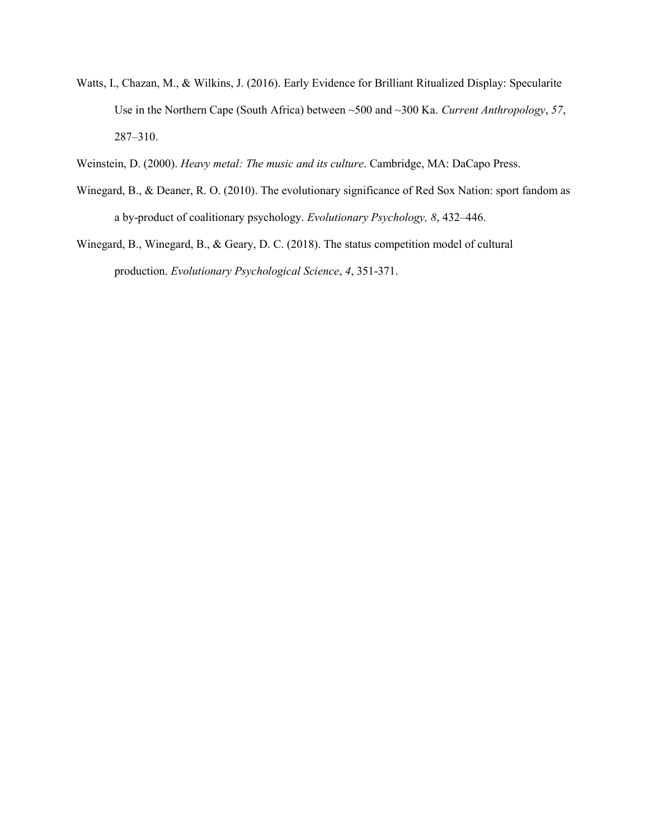- Watts, I., Chazan, M., & Wilkins, J. (2016). Early Evidence for Brilliant Ritualized Display: Specularite Use in the Northern Cape (South Africa) between ~500 and ~300 Ka. Current Anthropology, 57, 287–310.
- Weinstein, D. (2000). Heavy metal: The music and its culture. Cambridge, MA: DaCapo Press.
- Winegard, B., & Deaner, R. O. (2010). The evolutionary significance of Red Sox Nation: sport fandom as a by-product of coalitionary psychology. Evolutionary Psychology, 8, 432–446.
- Winegard, B., Winegard, B., & Geary, D. C. (2018). The status competition model of cultural production. Evolutionary Psychological Science, 4, 351-371.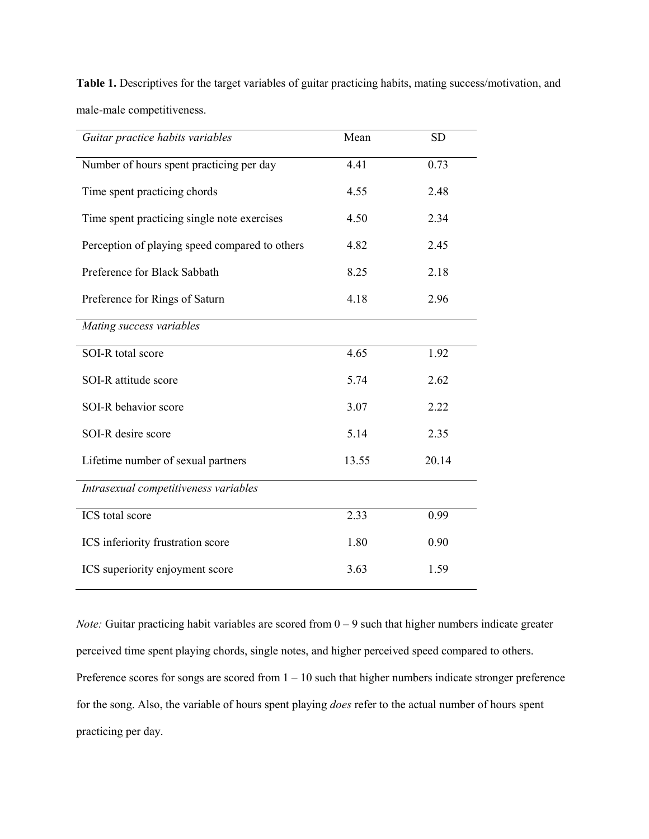| Guitar practice habits variables               | Mean  | <b>SD</b> |
|------------------------------------------------|-------|-----------|
| Number of hours spent practicing per day       | 4.41  | 0.73      |
| Time spent practicing chords                   | 4.55  | 2.48      |
| Time spent practicing single note exercises    | 4.50  | 2.34      |
| Perception of playing speed compared to others | 4.82  | 2.45      |
| Preference for Black Sabbath                   | 8.25  | 2.18      |
| Preference for Rings of Saturn                 | 4.18  | 2.96      |
| Mating success variables                       |       |           |
| SOI-R total score                              | 4.65  | 1.92      |
| SOI-R attitude score                           | 5.74  | 2.62      |
| SOI-R behavior score                           | 3.07  | 2.22      |
| SOI-R desire score                             | 5.14  | 2.35      |
| Lifetime number of sexual partners             | 13.55 | 20.14     |
| Intrasexual competitiveness variables          |       |           |
| ICS total score                                | 2.33  | 0.99      |
| ICS inferiority frustration score              | 1.80  | 0.90      |
| ICS superiority enjoyment score                | 3.63  | 1.59      |

Table 1. Descriptives for the target variables of guitar practicing habits, mating success/motivation, and male-male competitiveness.

*Note:* Guitar practicing habit variables are scored from  $0 - 9$  such that higher numbers indicate greater perceived time spent playing chords, single notes, and higher perceived speed compared to others. Preference scores for songs are scored from  $1 - 10$  such that higher numbers indicate stronger preference for the song. Also, the variable of hours spent playing does refer to the actual number of hours spent practicing per day.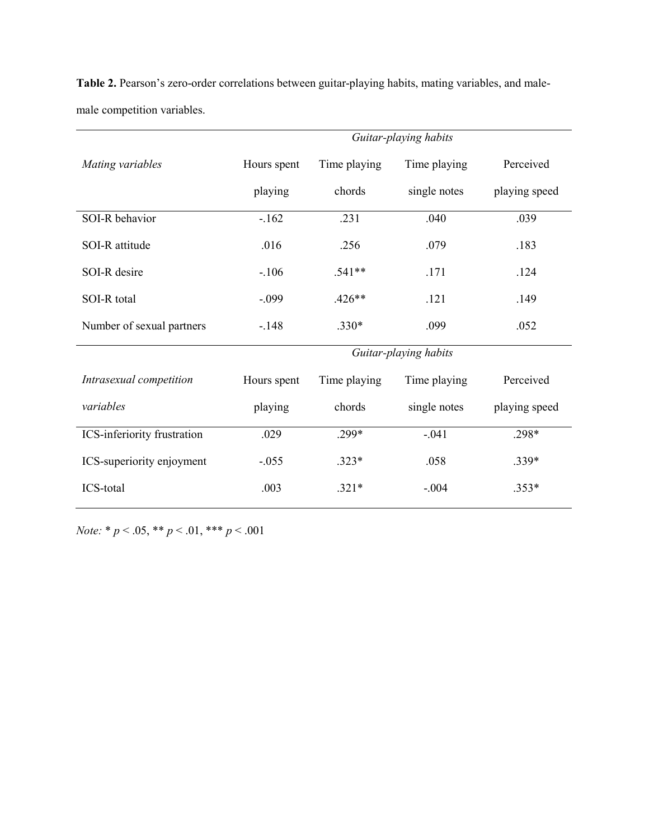|                             | Guitar-playing habits |              |              |               |  |  |  |  |  |
|-----------------------------|-----------------------|--------------|--------------|---------------|--|--|--|--|--|
| Mating variables            | Hours spent           | Time playing | Time playing | Perceived     |  |  |  |  |  |
|                             | playing               | chords       | single notes | playing speed |  |  |  |  |  |
| SOI-R behavior              | $-162$                | .231         | .040         | .039          |  |  |  |  |  |
| SOI-R attitude              | .016                  | .256         | .079         | .183          |  |  |  |  |  |
| SOI-R desire                | $-106$                | $.541**$     | .171         | .124          |  |  |  |  |  |
| SOI-R total                 | $-.099$               | $.426**$     | .121         | .149          |  |  |  |  |  |
| Number of sexual partners   | $-.148$               | $.330*$      | .099         | .052          |  |  |  |  |  |
|                             | Guitar-playing habits |              |              |               |  |  |  |  |  |
| Intrasexual competition     | Hours spent           | Time playing | Time playing | Perceived     |  |  |  |  |  |
| variables                   | playing               | chords       | single notes | playing speed |  |  |  |  |  |
| ICS-inferiority frustration | .029                  | $.299*$      | $-.041$      | .298*         |  |  |  |  |  |
| ICS-superiority enjoyment   | $-.055$               | $.323*$      | .058         | $.339*$       |  |  |  |  |  |
| ICS-total                   | .003                  | $.321*$      | $-.004$      | $.353*$       |  |  |  |  |  |

Table 2. Pearson's zero-order correlations between guitar-playing habits, mating variables, and malemale competition variables.

Note: \* $p < .05,$ \*\* $p < .01,$ \*\*\* $p < .001$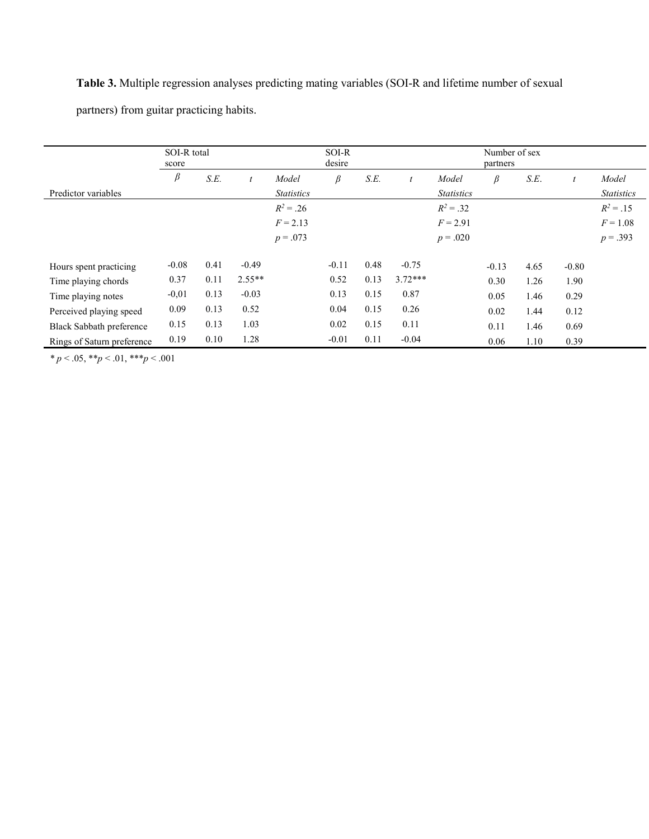# Table 3. Multiple regression analyses predicting mating variables (SOI-R and lifetime number of sexual

partners) from guitar practicing habits.

|                                 | SOI-R total<br>score |      |          | SOI-R<br>desire   |         |      | Number of sex<br>partners |                   |         |      |         |                   |
|---------------------------------|----------------------|------|----------|-------------------|---------|------|---------------------------|-------------------|---------|------|---------|-------------------|
|                                 | $\beta$              | S.E. |          | Model             | $\beta$ | S.E. | $\boldsymbol{t}$          | Model             | β       | S.E. | t       | Model             |
| Predictor variables             |                      |      |          | <b>Statistics</b> |         |      |                           | <b>Statistics</b> |         |      |         | <i>Statistics</i> |
|                                 |                      |      |          | $R^2 = .26$       |         |      |                           | $R^2 = .32$       |         |      |         | $R^2 = .15$       |
|                                 |                      |      |          | $F = 2.13$        |         |      |                           | $F = 2.91$        |         |      |         | $F = 1.08$        |
|                                 |                      |      |          | $p = .073$        |         |      |                           | $p = .020$        |         |      |         | $p = .393$        |
|                                 |                      |      |          |                   |         |      |                           |                   |         |      |         |                   |
| Hours spent practicing          | $-0.08$              | 0.41 | $-0.49$  |                   | $-0.11$ | 0.48 | $-0.75$                   |                   | $-0.13$ | 4.65 | $-0.80$ |                   |
| Time playing chords             | 0.37                 | 0.11 | $2.55**$ |                   | 0.52    | 0.13 | $3.72***$                 |                   | 0.30    | 1.26 | 1.90    |                   |
| Time playing notes              | $-0.01$              | 0.13 | $-0.03$  |                   | 0.13    | 0.15 | 0.87                      |                   | 0.05    | 1.46 | 0.29    |                   |
| Perceived playing speed         | 0.09                 | 0.13 | 0.52     |                   | 0.04    | 0.15 | 0.26                      |                   | 0.02    | 1.44 | 0.12    |                   |
| <b>Black Sabbath preference</b> | 0.15                 | 0.13 | 1.03     |                   | 0.02    | 0.15 | 0.11                      |                   | 0.11    | 1.46 | 0.69    |                   |
| Rings of Saturn preference      | 0.19                 | 0.10 | 1.28     |                   | $-0.01$ | 0.11 | $-0.04$                   |                   | 0.06    | 1.10 | 0.39    |                   |

\*  $p < .05$ , \*\* $p < .01$ , \*\*\* $p < .001$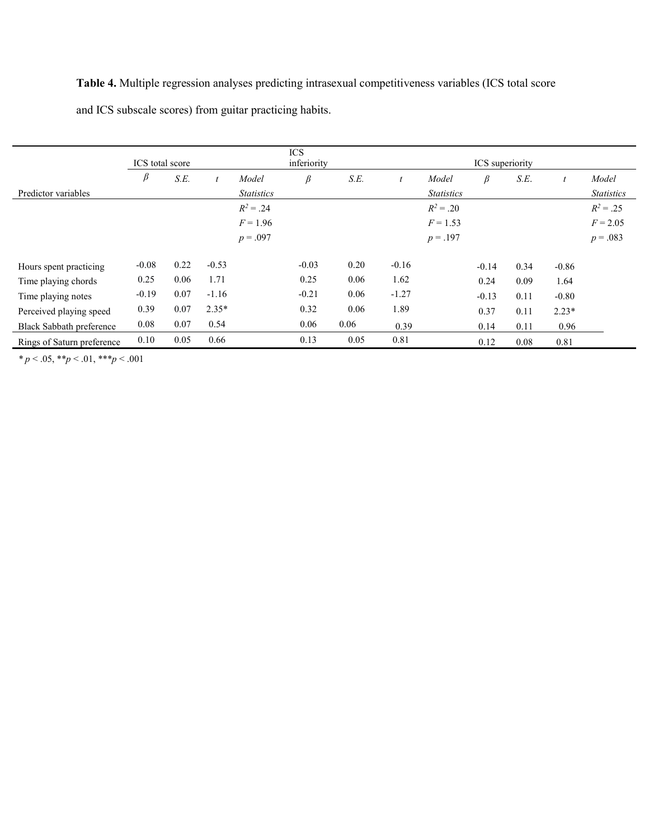Table 4. Multiple regression analyses predicting intrasexual competitiveness variables (ICS total score

and ICS subscale scores) from guitar practicing habits.

|                                 | ICS total score |      |         |                   | <b>ICS</b><br>inferiority<br>ICS superiority |      |                  |                   |         |      |         |                   |
|---------------------------------|-----------------|------|---------|-------------------|----------------------------------------------|------|------------------|-------------------|---------|------|---------|-------------------|
|                                 | β               | S.E. |         | Model             | β                                            | S.E. | $\boldsymbol{t}$ | Model             | $\beta$ | S.E. |         | Model             |
| Predictor variables             |                 |      |         | <b>Statistics</b> |                                              |      |                  | <i>Statistics</i> |         |      |         | <i>Statistics</i> |
|                                 |                 |      |         | $R^2 = .24$       |                                              |      |                  | $R^2 = .20$       |         |      |         | $R^2 = .25$       |
|                                 |                 |      |         | $F = 1.96$        |                                              |      |                  | $F = 1.53$        |         |      |         | $F = 2.05$        |
|                                 |                 |      |         | $p = .097$        |                                              |      |                  | $p = .197$        |         |      |         | $p = .083$        |
|                                 |                 |      |         |                   |                                              |      |                  |                   |         |      |         |                   |
| Hours spent practicing          | $-0.08$         | 0.22 | $-0.53$ |                   | $-0.03$                                      | 0.20 | $-0.16$          |                   | $-0.14$ | 0.34 | $-0.86$ |                   |
| Time playing chords             | 0.25            | 0.06 | 1.71    |                   | 0.25                                         | 0.06 | 1.62             |                   | 0.24    | 0.09 | 1.64    |                   |
| Time playing notes              | $-0.19$         | 0.07 | $-1.16$ |                   | $-0.21$                                      | 0.06 | $-1.27$          |                   | $-0.13$ | 0.11 | $-0.80$ |                   |
| Perceived playing speed         | 0.39            | 0.07 | $2.35*$ |                   | 0.32                                         | 0.06 | 1.89             |                   | 0.37    | 0.11 | $2.23*$ |                   |
| <b>Black Sabbath preference</b> | 0.08            | 0.07 | 0.54    |                   | 0.06                                         | 0.06 | 0.39             |                   | 0.14    | 0.11 | 0.96    |                   |
| Rings of Saturn preference      | 0.10            | 0.05 | 0.66    |                   | 0.13                                         | 0.05 | 0.81             |                   | 0.12    | 0.08 | 0.81    |                   |

 $* p < .05, ** p < .01, ** p < .001$